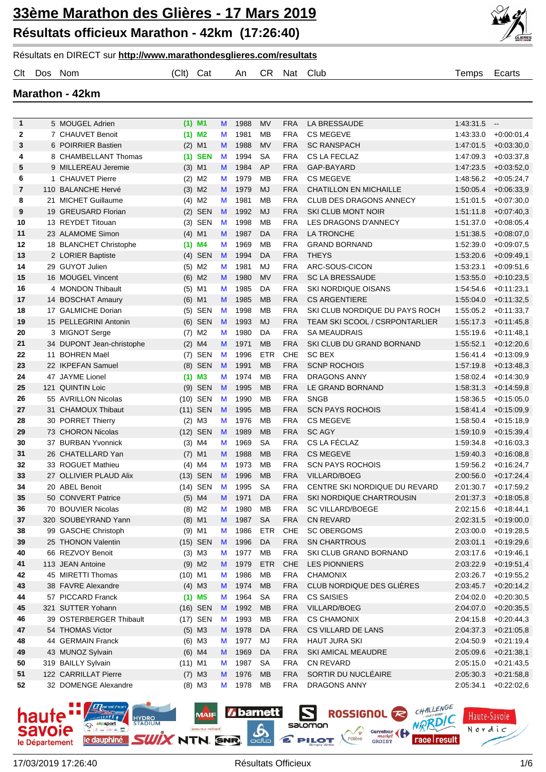



|              | <b>Marathon - 42km</b>    |           |                      |   |      |            |            |                                |           |              |
|--------------|---------------------------|-----------|----------------------|---|------|------------|------------|--------------------------------|-----------|--------------|
|              |                           |           |                      |   |      |            |            |                                |           |              |
| $\mathbf{1}$ | 5 MOUGEL Adrien           |           | $(1)$ M1             | M | 1988 | MV         | <b>FRA</b> | LA BRESSAUDE                   | 1:43:31.5 | $\sim$       |
| $\mathbf{2}$ | 7 CHAUVET Benoit          |           | $(1)$ M <sub>2</sub> | M | 1981 | <b>MB</b>  | <b>FRA</b> | <b>CS MEGEVE</b>               | 1:43:33.0 | $+0.00:01,4$ |
| 3            | 6 POIRRIER Bastien        |           | $(2)$ M1             | M | 1988 | <b>MV</b>  | <b>FRA</b> | <b>SC RANSPACH</b>             | 1:47:01.5 | $+0.03:30,0$ |
| 4            | 8 CHAMBELLANT Thomas      |           | $(1)$ SEN            | M | 1994 | <b>SA</b>  | <b>FRA</b> | CS LA FECLAZ                   | 1:47:09.3 | $+0.03:37,8$ |
| 5            | 9 MILLEREAU Jeremie       |           | $(3)$ M1             | M | 1984 | AP         | <b>FRA</b> | GAP-BAYARD                     | 1:47:23.5 | $+0.03:52,0$ |
| 6            | 1 CHAUVET Pierre          |           | $(2)$ M2             | M | 1979 | <b>MB</b>  | <b>FRA</b> | <b>CS MEGEVE</b>               | 1:48:56.2 | $+0.05:24,7$ |
| 7            | 110 BALANCHE Hervé        |           | $(3)$ M2             | M | 1979 | <b>MJ</b>  | <b>FRA</b> | <b>CHATILLON EN MICHAILLE</b>  | 1:50:05.4 | $+0.06:33,9$ |
| 8            | 21 MICHET Guillaume       |           | $(4)$ M2             | M | 1981 | <b>MB</b>  | <b>FRA</b> | CLUB DES DRAGONS ANNECY        | 1:51:01.5 | $+0.07:30,0$ |
| 9            | 19 GREUSARD Florian       |           | $(2)$ SEN            | M | 1992 | <b>MJ</b>  | <b>FRA</b> | SKI CLUB MONT NOIR             | 1:51:11.8 | $+0.07:40,3$ |
| 10           | 13 REYDET Titouan         |           | $(3)$ SEN            | M | 1998 | <b>MB</b>  | <b>FRA</b> | LES DRAGONS D'ANNECY           | 1:51:37.0 | $+0.08:05,4$ |
| 11           | 23 ALAMOME Simon          |           | $(4)$ M1             | M | 1987 | DA         | <b>FRA</b> | LA TRONCHE                     | 1:51:38.5 | $+0.08:07,0$ |
| 12           | 18 BLANCHET Christophe    |           | $(1)$ M4             | M | 1969 | <b>MB</b>  | <b>FRA</b> | <b>GRAND BORNAND</b>           | 1:52:39.0 | $+0.09:07,5$ |
| 13           | 2 LORIER Baptiste         |           | $(4)$ SEN            | M | 1994 | DA         | <b>FRA</b> | <b>THEYS</b>                   | 1:53:20.6 | $+0.09:49,1$ |
| 14           | 29 GUYOT Julien           |           | $(5)$ M2             | M | 1981 | <b>MJ</b>  | <b>FRA</b> | ARC-SOUS-CICON                 | 1:53:23.1 | $+0.09:51,6$ |
| 15           | 16 MOUGEL Vincent         |           | $(6)$ M2             | M | 1980 | <b>MV</b>  | <b>FRA</b> | <b>SC LA BRESSAUDE</b>         | 1:53:55.0 | $+0.10:23,5$ |
| 16           | 4 MONDON Thibault         |           | $(5)$ M1             | M | 1985 | DA         | <b>FRA</b> | <b>SKI NORDIQUE OISANS</b>     | 1:54:54.6 | $+0.11:23,1$ |
| 17           | 14 BOSCHAT Amaury         |           | $(6)$ M1             | M | 1985 | <b>MB</b>  | <b>FRA</b> | <b>CS ARGENTIERE</b>           | 1:55:04.0 | $+0.11:32.5$ |
| 18           | 17 GALMICHE Dorian        |           | (5) SEN              | M | 1998 | <b>MB</b>  | <b>FRA</b> | SKI CLUB NORDIQUE DU PAYS ROCH | 1:55:05.2 | $+0:11:33,7$ |
| 19           | 15 PELLEGRINI Antonin     |           | $(6)$ SEN            | M | 1993 | <b>MJ</b>  | <b>FRA</b> | TEAM SKI SCOOL / CSRPONTARLIER | 1:55:17.3 | $+0.11:45,8$ |
| 20           | 3 MIGNOT Serge            |           | $(7)$ M2             | M | 1980 | DA         | <b>FRA</b> | <b>SA MEAUDRAIS</b>            | 1:55:19.6 | $+0.11:48,1$ |
| 21           | 34 DUPONT Jean-christophe |           | $(2)$ M4             | M | 1971 | <b>MB</b>  | <b>FRA</b> | SKI CLUB DU GRAND BORNAND      | 1:55:52.1 | $+0.12:20,6$ |
| 22           | 11 BOHREN Maël            | (7)       | SEN                  | M | 1996 | <b>ETR</b> | CHE        | <b>SC BEX</b>                  | 1:56:41.4 | $+0.13.09,9$ |
| 23           | 22 IKPEFAN Samuel         |           | (8) SEN              | M | 1991 | <b>MB</b>  | <b>FRA</b> | <b>SCNP ROCHOIS</b>            | 1:57:19.8 | $+0.13:48,3$ |
| 24           | 47 JAYME Lionel           |           | $(1)$ M3             | M | 1974 | <b>MB</b>  | <b>FRA</b> | <b>DRAGONS ANNY</b>            | 1:58:02.4 | $+0.14.30,9$ |
| 25           | 121 QUINTIN Loic          |           | (9) SEN              | M | 1995 | <b>MB</b>  | <b>FRA</b> | LE GRAND BORNAND               | 1:58:31.3 | $+0.14.59,8$ |
| 26           | 55 AVRILLON Nicolas       |           | (10) SEN             | M | 1990 | <b>MB</b>  | <b>FRA</b> | <b>SNGB</b>                    | 1:58:36.5 | $+0.15:05,0$ |
| 27           | 31 CHAMOUX Thibaut        |           | (11) SEN             | M | 1995 | <b>MB</b>  | <b>FRA</b> | <b>SCN PAYS ROCHOIS</b>        | 1:58:41.4 | $+0.15.09,9$ |
| 28           | 30 PORRET Thierry         |           | $(2)$ M3             | M | 1976 | <b>MB</b>  | <b>FRA</b> | <b>CS MEGEVE</b>               | 1:58:50.4 | $+0.15:18,9$ |
| 29           | 73 CHORON Nicolas         |           | (12) SEN             | M | 1989 | <b>MB</b>  | <b>FRA</b> | <b>SC AGY</b>                  | 1:59:10.9 | $+0.15.39,4$ |
| 30           | 37 BURBAN Yvonnick        |           | $(3)$ M4             | M | 1969 | <b>SA</b>  | <b>FRA</b> | CS LA FÉCLAZ                   | 1:59:34.8 | $+0.16.03,3$ |
| 31           | 26 CHATELLARD Yan         |           | $(7)$ M1             | M | 1988 | <b>MB</b>  | <b>FRA</b> | <b>CS MEGEVE</b>               | 1:59:40.3 | $+0.16.08,8$ |
| 32           | 33 ROGUET Mathieu         |           | $(4)$ M4             | M | 1973 | <b>MB</b>  | <b>FRA</b> | <b>SCN PAYS ROCHOIS</b>        | 1:59:56.2 | $+0.16:24,7$ |
| 33           | 27 OLLIVIER PLAUD Alix    |           | (13) SEN             | M | 1996 | <b>MB</b>  | <b>FRA</b> | VILLARD/BOEG                   | 2:00:56.0 | $+0.17:24,4$ |
| 34           | 20 ABEL Benoit            |           | (14) SEN             | M | 1995 | <b>SA</b>  | <b>FRA</b> | CENTRE SKI NORDIQUE DU REVARD  | 2:01:30.7 | $+0:17:59,2$ |
| 35           | 50 CONVERT Patrice        |           | $(5)$ M4             | M | 1971 | DA         | <b>FRA</b> | SKI NORDIQUE CHARTROUSIN       | 2:01:37.3 | $+0.18.05,8$ |
| 36           | 70 BOUVIER Nicolas        |           | $(8)$ M2             | M | 1980 | MB         | <b>FRA</b> | <b>SC VILLARD/BOEGE</b>        | 2:02:15.6 | $+0.18.44,1$ |
| 37           | 320 SOUBEYRAND Yann       |           | $(8)$ M1             | M | 1987 | <b>SA</b>  | <b>FRA</b> | <b>CN REVARD</b>               | 2:02:31.5 | $+0.19:00,0$ |
| 38           | 99 GASCHE Christoph       |           | $(9)$ M1             | M | 1986 | <b>ETR</b> | <b>CHE</b> | <b>SC OBERGOMS</b>             | 2:03:00.0 | $+0.19:28,5$ |
| 39           | 25 THONON Valentin        |           | (15) SEN             | M | 1996 | DA         | <b>FRA</b> | <b>SN CHARTROUS</b>            | 2:03:01.1 | $+0.19.29,6$ |
| 40           | 66 REZVOY Benoit          |           | $(3)$ M3             | M | 1977 | MB         | <b>FRA</b> | SKI CLUB GRAND BORNAND         | 2:03:17.6 | $+0.19.46,1$ |
| 41           | 113 JEAN Antoine          |           | $(9)$ M2             | M | 1979 | <b>ETR</b> | <b>CHE</b> | <b>LES PIONNIERS</b>           | 2:03:22.9 | $+0.19.51,4$ |
| 42           | 45 MIRETTI Thomas         | $(10)$ M1 |                      | M | 1986 | MB         | <b>FRA</b> | <b>CHAMONIX</b>                | 2:03:26.7 | $+0.19.55,2$ |
| 43           | 38 FAVRE Alexandre        |           | $(4)$ M3             | M | 1974 | <b>MB</b>  | <b>FRA</b> | CLUB NORDIQUE DES GLIERES      | 2:03:45.7 | $+0.20:14,2$ |
| 44           | 57 PICCARD Franck         |           | $(1)$ M <sub>5</sub> | M | 1964 | <b>SA</b>  | <b>FRA</b> | <b>CS SAISIES</b>              | 2:04:02.0 | $+0.20.30,5$ |
| 45           | 321 SUTTER Yohann         |           | (16) SEN             | M | 1992 | <b>MB</b>  | <b>FRA</b> | VILLARD/BOEG                   | 2:04:07.0 | $+0.20.35,5$ |
| 46           | 39 OSTERBERGER Thibault   |           | (17) SEN             | M | 1993 | MB         | <b>FRA</b> | <b>CS CHAMONIX</b>             | 2:04:15.8 | $+0.20:44,3$ |
| 47           | 54 THOMAS Victor          |           | $(5)$ M3             | M | 1978 | DA         | <b>FRA</b> | CS VILLARD DE LANS             | 2:04:37.3 | $+0.21:05,8$ |
| 48           | 44 GERMAIN Franck         |           | $(6)$ M3             | M | 1977 | MJ         | <b>FRA</b> | <b>HAUT JURA SKI</b>           | 2:04:50.9 | $+0.21:19,4$ |
| 49           | 43 MUNOZ Sylvain          |           | $(6)$ M4             | M | 1969 | DA         | <b>FRA</b> | SKI AMICAL MEAUDRE             | 2:05:09.6 | $+0.21:38,1$ |
| 50           | 319 BAILLY Sylvain        | $(11)$ M1 |                      | M | 1987 | SA         | <b>FRA</b> | CN REVARD                      | 2:05:15.0 | +0:21:43,5   |

Clt Dos Nom (Clt) Cat An CR Nat Club Temps Ecarts



 122 CARRILLAT Pierre (7) M3 M 1976 MB FRA SORTIR DU NUCLÉAIRE 2:05:30.3 +0:21:58,8 32 DOMENGE Alexandre (8) M3 M 1978 MB FRA DRAGONS ANNY 2:05:34.1 +0:22:02,6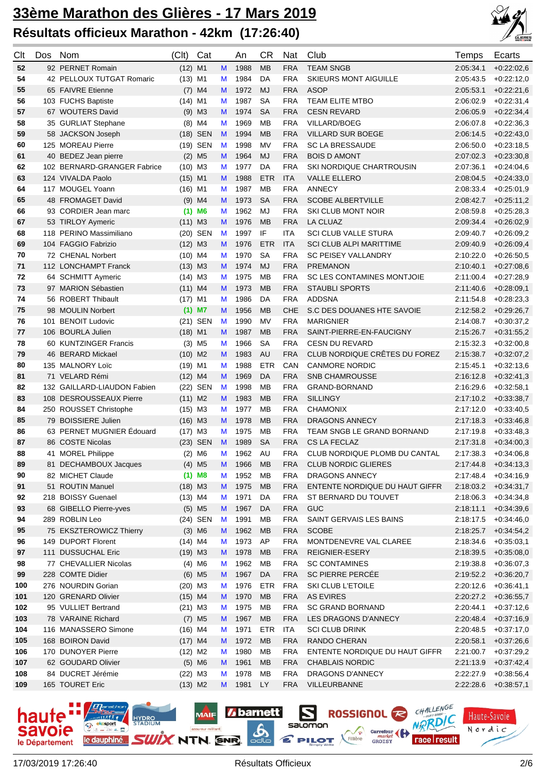

| Clt        | Dos | <b>Nom</b>                             | (C <sub>l</sub> ) | Cat                  |        | An           | СR              | Nat                      | Club                                                  | Temps                  | Ecarts                       |
|------------|-----|----------------------------------------|-------------------|----------------------|--------|--------------|-----------------|--------------------------|-------------------------------------------------------|------------------------|------------------------------|
| 52         |     | 92 PERNET Romain                       | $(12)$ M1         |                      | M      | 1988         | <b>MB</b>       | <b>FRA</b>               | <b>TEAM SNGB</b>                                      | 2:05:34.1              | $+0.22:02,6$                 |
| 54         |     | 42 PELLOUX TUTGAT Romaric              | $(13)$ M1         |                      | М      | 1984         | DA              | <b>FRA</b>               | SKIEURS MONT AIGUILLE                                 | 2:05:43.5              | $+0.22:12,0$                 |
| 55         |     | 65 FAIVRE Etienne                      | (7)               | M4                   | м      | 1972         | <b>MJ</b>       | <b>FRA</b>               | <b>ASOP</b>                                           | 2:05:53.1              | $+0.22:21,6$                 |
| 56         |     | 103 FUCHS Baptiste                     | $(14)$ M1         |                      | М      | 1987         | <b>SA</b>       | <b>FRA</b>               | <b>TEAM ELITE MTBO</b>                                | 2:06:02.9              | $+0.22:31,4$                 |
| 57         |     | 67 WOUTERS David                       | $(9)$ M3          |                      | М      | 1974         | <b>SA</b>       | <b>FRA</b>               | <b>CESN REVARD</b>                                    | 2:06:05.9              | $+0.22.34,4$                 |
| 58         |     | 35 GURLIAT Stephane                    |                   | $(8)$ M4             | М      | 1969         | <b>MB</b>       | <b>FRA</b>               | <b>VILLARD/BOEG</b>                                   | 2:06:07.8              | $+0.22.36,3$                 |
| 59         |     | 58 JACKSON Joseph                      |                   | (18) SEN             | M      | 1994         | <b>MB</b>       | <b>FRA</b>               | <b>VILLARD SUR BOEGE</b>                              | 2:06:14.5              | $+0.22:43,0$                 |
| 60         |     | 125 MOREAU Pierre                      |                   | (19) SEN             | M      | 1998         | <b>MV</b>       | <b>FRA</b>               | <b>SC LA BRESSAUDE</b>                                | 2:06:50.0              | $+0.23:18,5$                 |
| 61         |     | 40 BEDEZ Jean pierre                   |                   | $(2)$ M <sub>5</sub> | М      | 1964         | <b>MJ</b>       | <b>FRA</b>               | <b>BOIS D AMONT</b>                                   | 2:07:02.3              | $+0.23.30,8$                 |
| 62         |     | 102 BERNARD-GRANGER Fabrice            | $(10)$ M3         |                      | М      | 1977         | DA              | <b>FRA</b>               | <b>SKI NORDIQUE CHARTROUSIN</b>                       | 2:07:36.1              | $+0.24:04,6$                 |
| 63         |     | 124 VIVALDA Paolo                      | $(15)$ M1         |                      | M      | 1988         | <b>ETR</b>      | <b>ITA</b>               | <b>VALLE ELLERO</b>                                   | 2:08:04.5              | $+0.24.33,0$                 |
| 64         |     | 117 MOUGEL Yoann                       | $(16)$ M1         |                      | М      | 1987         | <b>MB</b>       | <b>FRA</b>               | <b>ANNECY</b>                                         | 2:08:33.4              | $+0.25:01,9$                 |
| 65         |     | 48 FROMAGET David                      | $(9)$ M4          |                      | м      | 1973         | <b>SA</b>       | <b>FRA</b>               | <b>SCOBE ALBERTVILLE</b>                              | 2:08:42.7              | $+0.25:11,2$                 |
| 66         |     | 93 CORDIER Jean marc                   |                   | $(1)$ M6             | М      | 1962         | MJ              | <b>FRA</b>               | SKI CLUB MONT NOIR                                    | 2:08:59.8              | $+0.25:28,3$                 |
| 67         |     | 53 TIRLOY Aymeric                      | $(11)$ M3         |                      | м      | 1976         | <b>MB</b>       | <b>FRA</b>               | LA CLUAZ                                              | 2:09:34.4              | $+0.26:02,9$                 |
| 68         |     | 118 PERINO Massimiliano                |                   | (20) SEN             | M      | 1997         | IF              | <b>ITA</b>               | <b>SCI CLUB VALLE STURA</b>                           | 2:09:40.7              | $+0.26:09,2$                 |
| 69         |     | 104 FAGGIO Fabrizio                    | $(12)$ M3         |                      | М      | 1976         | <b>ETR</b>      | <b>ITA</b>               | <b>SCI CLUB ALPI MARITTIME</b>                        | 2:09:40.9              | $+0.26.09,4$                 |
| 70         |     | 72 CHENAL Norbert                      | $(10)$ M4         |                      | М      | 1970         | <b>SA</b>       | <b>FRA</b>               | <b>SC PEISEY VALLANDRY</b>                            | 2:10:22.0              | $+0.26:50,5$                 |
| 71         |     | 112 LONCHAMPT Franck                   | $(13)$ M3         |                      | м      | 1974         | <b>MJ</b>       | <b>FRA</b>               | <b>PREMANON</b>                                       | 2:10:40.1              | $+0.27:08.6$                 |
| 72         |     | 64 SCHMITT Aymeric                     | $(14)$ M3         |                      | М      | 1975         | <b>MB</b>       | <b>FRA</b>               | SC LES CONTAMINES MONTJOIE                            | 2:11:00.4              | $+0.27:28,9$                 |
| 73         |     | 97 MARION Sébastien                    | $(11)$ M4         |                      | М      | 1973         | <b>MB</b>       | <b>FRA</b>               | <b>STAUBLI SPORTS</b>                                 | 2:11:40.6              | $+0.28.09,1$                 |
| 74         |     | 56 ROBERT Thibault                     | $(17)$ M1         |                      | М      | 1986         | DA              | <b>FRA</b>               | <b>ADDSNA</b>                                         | 2:11:54.8              | $+0.28:23.3$                 |
| 75         |     | 98 MOULIN Norbert                      | $(1)$ M7          |                      | M      | 1956         | <b>MB</b>       | CHE                      | S.C DES DOUANES HTE SAVOIE                            | 2:12:58.2              | $+0.29:26,7$                 |
| 76         |     | 101 BENOIT Ludovic                     |                   | (21) SEN             | M      | 1990         | <b>MV</b>       | <b>FRA</b>               | <b>MARIGNIER</b>                                      | 2:14:08.7              | $+0.30.37,2$                 |
| 77         |     | 106 BOURLA Julien                      | $(18)$ M1         |                      | М      | 1987         | <b>MB</b>       | <b>FRA</b>               | SAINT-PIERRE-EN-FAUCIGNY                              | 2:15:26.7              | $+0.31:55.2$                 |
| 78         |     | 60 KUNTZINGER Francis                  |                   | $(3)$ M <sub>5</sub> | М      | 1966         | <b>SA</b>       | <b>FRA</b>               | <b>CESN DU REVARD</b>                                 | 2:15:32.3              | $+0:32:00,8$                 |
| 79         |     | 46 BERARD Mickael                      | $(10)$ M2         |                      | М      | 1983         | AU              | <b>FRA</b>               | CLUB NORDIQUE CRÊTES DU FOREZ                         | 2:15:38.7              | $+0.32:07,2$                 |
| 80         |     | 135 MALNORY Loïc                       | $(19)$ M1         |                      | М      | 1988         | <b>ETR</b>      | CAN                      | <b>CANMORE NORDIC</b>                                 | 2:15:45.1              | $+0.32:13,6$                 |
| 81         |     | 71 VELARD Rémi                         | $(12)$ M4         |                      | М      | 1969         | DA              | <b>FRA</b>               | SNB CHAMROUSSE                                        | 2:16:12.8              | $+0.32:41,3$                 |
| 82         |     | 132 GAILLARD-LIAUDON Fabien            | (22)              | <b>SEN</b>           | M      | 1998         | <b>MB</b>       | <b>FRA</b>               | GRAND-BORNAND                                         | 2:16:29.6              | $+0.32:58,1$                 |
| 83         |     | 108 DESROUSSEAUX Pierre                | $(11)$ M2         |                      | М      | 1983         | <b>MB</b>       | <b>FRA</b>               | <b>SILLINGY</b>                                       | 2:17:10.2              | $+0.33.38,7$                 |
| 84         |     | 250 ROUSSET Christophe                 | $(15)$ M3         |                      | М      | 1977         | <b>MB</b>       | <b>FRA</b>               | <b>CHAMONIX</b>                                       | 2:17:12.0              | $+0.33:40,5$                 |
| 85         |     | 79 BOISSIERE Julien                    | $(16)$ M3         |                      | М      | 1978         | <b>MB</b>       | <b>FRA</b>               | <b>DRAGONS ANNECY</b>                                 | 2:17:18.3              | $+0.33.46,8$                 |
| 86         |     | 63 PERNET MUGNIER Édouard              | $(17)$ M3         |                      | М      | 1975         | <b>MB</b>       | <b>FRA</b>               | TEAM SNGB LE GRAND BORNAND                            | 2:17:19.8              | $+0.33.48,3$                 |
| 87         |     | 86 COSTE Nicolas                       |                   | (23) SEN             | M      | 1989         | <b>SA</b>       | <b>FRA</b>               | CS LA FECLAZ                                          | 2:17:31.8              | $+0.34.00.3$                 |
| 88         |     | 41 MOREL Philippe                      |                   | $(2)$ M6             | М      | 1962         | AU              | FRA                      | CLUB NORDIQUE PLOMB DU CANTAL                         | 2:17:38.3              | $+0.34.06.8$                 |
| 89         |     | 81 DECHAMBOUX Jacques                  |                   | $(4)$ M <sub>5</sub> | M      | 1966         | МB              | FRA                      | <b>CLUB NORDIC GLIERES</b>                            | 2:17:44.8              | $+0:34:13,3$                 |
| 90         |     | 82 MICHET Claude                       |                   | $(1)$ M8             | М      | 1952         | MB              | <b>FRA</b>               | DRAGONS ANNECY                                        | 2:17:48.4              | $+0.34:16.9$                 |
| 91         |     | 51 ROUTIN Manuel                       | $(18)$ M3         |                      | M      | 1975         | <b>MB</b>       | <b>FRA</b>               | ENTENTE NORDIQUE DU HAUT GIFFR                        | 2:18:03.2              | $+0.34:31,7$                 |
| 92         |     | 218 BOISSY Guenael                     | $(13)$ M4         |                      | M      | 1971         | DA              | <b>FRA</b>               | ST BERNARD DU TOUVET                                  | 2:18:06.3              | $+0.34.34,8$                 |
| 93         |     | 68 GIBELLO Pierre-yves                 |                   | $(5)$ M5             | M      | 1967         | DA              | <b>FRA</b>               | GUC                                                   | 2:18:11.1              | $+0.34.39,6$                 |
| 94         |     | 289 ROBLIN Leo                         |                   | (24) SEN             | M      | 1991         | MB              | <b>FRA</b>               | SAINT GERVAIS LES BAINS                               | 2:18:17.5              | $+0.34:46,0$                 |
| 95         |     | 75 EKSZTEROWICZ Thierry                |                   | $(3)$ M6             | M      | 1962         | <b>MB</b>       | <b>FRA</b>               | <b>SCOBE</b>                                          | 2:18:25.7              | $+0.34.54,2$                 |
| 96         |     | 149 DUPORT Florent                     | $(14)$ M4         |                      | М      | 1973         | AP              | <b>FRA</b>               | MONTDENEVRE VAL CLAREE                                | 2:18:34.6              | $+0.35:03,1$                 |
| 97         |     | 111 DUSSUCHAL Eric                     | $(19)$ M3         |                      | M      | 1978         | MB              | <b>FRA</b>               | REIGNIER-ESERY                                        | 2:18:39.5              | $+0.35:08,0$                 |
| 98         |     | 77 CHEVALLIER Nicolas                  |                   | $(4)$ M6             | М      | 1962         | MB              | <b>FRA</b>               | <b>SC CONTAMINES</b>                                  | 2:19:38.8              | $+0.36:07,3$                 |
| 99         |     | 228 COMTE Didier                       |                   | $(6)$ M <sub>5</sub> | M      | 1967         | DA              | <b>FRA</b>               | SC PIERRE PERCÉE                                      | 2:19:52.2              | $+0.36:20,7$                 |
| 100        |     | 276 NOURDIN Gorian                     | $(20)$ M3         |                      | М      | 1976         | <b>ETR</b>      | <b>FRA</b>               | <b>SKI CLUB L'ETOILE</b>                              | 2:20:12.6              | $+0.36:41,1$                 |
| 101        |     | 120 GRENARD Olivier                    | $(15)$ M4         |                      | M      | 1970         | MB              | <b>FRA</b>               | <b>AS EVIRES</b>                                      | 2:20:27.2              | $+0.36.55,7$                 |
| 102        |     | 95 VULLIET Bertrand                    | $(21)$ M3         |                      | М      | 1975         | MB              | <b>FRA</b>               | <b>SC GRAND BORNAND</b>                               | 2:20:44.1              | $+0.37:12,6$                 |
| 103        |     | 78 VARAINE Richard                     |                   | $(7)$ M <sub>5</sub> | M      | 1967         | MB              | <b>FRA</b>               | LES DRAGONS D'ANNECY                                  | 2:20:48.4              | $+0.37:16,9$                 |
| 104        |     | 116 MANASSERO Simone                   | $(16)$ M4         |                      | М      | 1971         | <b>ETR</b>      | <b>ITA</b>               | <b>SCI CLUB DRINK</b>                                 | 2:20:48.5              | $+0.37:17,0$                 |
| 105        |     | 168 BOIRON David<br>170 DUNOYER Pierre | $(17)$ M4         |                      | M      | 1972<br>1980 | MB<br><b>MB</b> | <b>FRA</b><br><b>FRA</b> | <b>RANDO CHERAN</b><br>ENTENTE NORDIQUE DU HAUT GIFFR | 2:20:58.1<br>2:21:00.7 | $+0.37:26,6$                 |
| 106<br>107 |     | 62 GOUDARD Olivier                     | $(12)$ M2         | $(5)$ M6             | М<br>M | 1961         | <b>MB</b>       | FRA                      | <b>CHABLAIS NORDIC</b>                                | 2:21:13.9              | $+0.37:29,2$<br>$+0.37:42,4$ |
| 108        |     | 84 DUCRET Jérémie                      | $(22)$ M3         |                      | М      | 1978         | MB              | <b>FRA</b>               | DRAGONS D'ANNECY                                      | 2:22:27.9              | $+0.38.56,4$                 |
| 109        |     | 165 TOURET Eric                        | $(13)$ M2         |                      | M      | 1981         | <b>LY</b>       | FRA                      | VILLEURBANNE                                          | 2:22:28.6              | $+0.38.57,1$                 |
|            |     |                                        |                   |                      |        |              |                 |                          |                                                       |                        |                              |

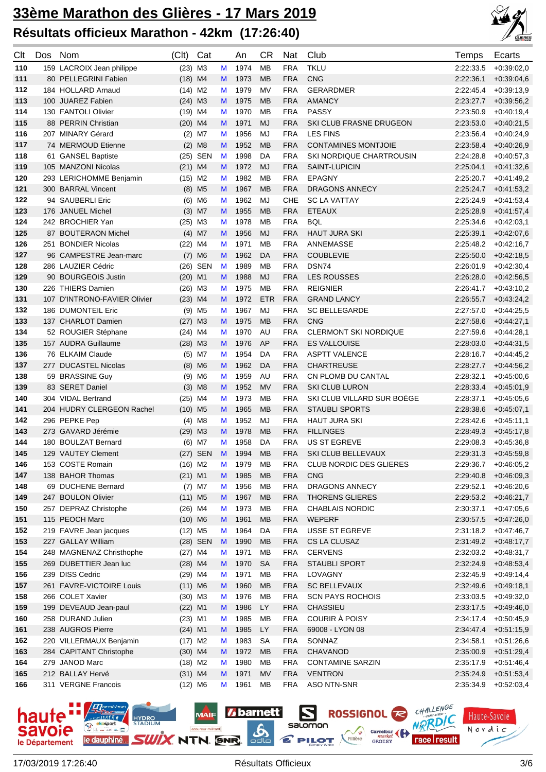

| Clt | Dos | Nom                          | (Clt)                 | Cat                  |   | An     | <b>CR</b>  | Nat        | Club                         | Temps     | Ecarts                 |
|-----|-----|------------------------------|-----------------------|----------------------|---|--------|------------|------------|------------------------------|-----------|------------------------|
| 110 |     | 159 LACROIX Jean philippe    | $(23)$ M3             |                      | М | 1974   | <b>MB</b>  | <b>FRA</b> | <b>TKLU</b>                  | 2:22:33.5 | $+0.39:02,0$           |
| 111 |     | 80 PELLEGRINI Fabien         | $(18)$ M4             |                      | M | 1973   | <b>MB</b>  | <b>FRA</b> | <b>CNG</b>                   | 2:22:36.1 | $+0.39.04,6$           |
| 112 |     | 184 HOLLARD Arnaud           | $(14)$ M2             |                      | M | 1979   | MV         | <b>FRA</b> | GERARDMER                    | 2:22:45.4 | $+0.39:13,9$           |
| 113 |     | 100 JUAREZ Fabien            | $(24)$ M3             |                      | M | 1975   | <b>MB</b>  | <b>FRA</b> | <b>AMANCY</b>                | 2:23:27.7 | $+0.39.56,2$           |
| 114 |     | 130 FANTOLI Olivier          | $(19)$ M4             |                      | M | 1970   | MB         | <b>FRA</b> | PASSY                        | 2:23:50.9 | $+0.40:19,4$           |
| 115 |     | 88 PERRIN Christian          | $(20)$ M4             |                      | M | 1971   | <b>MJ</b>  | <b>FRA</b> | SKI CLUB FRASNE DRUGEON      | 2:23:53.0 | $+0.40:21,5$           |
| 116 |     | 207 MINARY Gérard            |                       | $(2)$ M7             | M | 1956   | MJ         | <b>FRA</b> | <b>LES FINS</b>              | 2:23:56.4 | $+0.40.24,9$           |
| 117 |     | 74 MERMOUD Etienne           |                       | $(2)$ M <sub>8</sub> | M | 1952   | <b>MB</b>  | <b>FRA</b> | <b>CONTAMINES MONTJOIE</b>   | 2:23:58.4 | $+0.40.26,9$           |
| 118 |     | 61 GANSEL Baptiste           |                       | (25) SEN             | M | 1998   | DA         | <b>FRA</b> | SKI NORDIQUE CHARTROUSIN     | 2:24:28.8 | $+0.40.57,3$           |
| 119 |     | 105 MANZONI Nicolas          | $(21)$ M4             |                      | M | 1972   | MJ         | <b>FRA</b> | SAINT-LUPICIN                | 2:25:04.1 | $+0.41:32,6$           |
| 120 |     | 293 LERICHOMME Benjamin      | $(15)$ M2             |                      | M | 1982   | MB         | <b>FRA</b> | <b>EPAGNY</b>                | 2:25:20.7 | $+0.41.49,2$           |
| 121 |     | 300 BARRAL Vincent           |                       | $(8)$ M <sub>5</sub> | M | 1967   | <b>MB</b>  | <b>FRA</b> | DRAGONS ANNECY               | 2:25:24.7 | $+0.41.53,2$           |
| 122 |     | 94 SAUBERLI Eric             |                       | $(6)$ M6             | M | 1962   | MJ         | CHE        | <b>SC LA VATTAY</b>          | 2:25:24.9 | $+0.41:53,4$           |
| 123 |     | 176 JANUEL Michel            |                       | $(3)$ M7             | M | 1955   | <b>MB</b>  | <b>FRA</b> | <b>ETEAUX</b>                | 2:25:28.9 | $+0.41.57,4$           |
| 124 |     | 242 BROCHIER Yan             | $(25)$ M3             |                      | M | 1978   | MB         | <b>FRA</b> | <b>BQL</b>                   | 2:25:34.6 | $+0.42:03,1$           |
| 125 |     | 87 BOUTERAON Michel          |                       | $(4)$ M7             | M | 1956   | MJ         | <b>FRA</b> | <b>HAUT JURA SKI</b>         | 2:25:39.1 | $+0.42:07,6$           |
| 126 |     | 251 BONDIER Nicolas          | $(22)$ M4             |                      | M | 1971   | МB         | <b>FRA</b> | ANNEMASSE                    | 2:25:48.2 | $+0.42:16,7$           |
| 127 |     | 96 CAMPESTRE Jean-marc       |                       | $(7)$ M6             | M | 1962   | DA         | <b>FRA</b> | <b>COUBLEVIE</b>             | 2:25:50.0 | $+0.42.18,5$           |
| 128 |     | 286 LAUZIER Cédric           |                       | (26) SEN             | M | 1989   | MB         | <b>FRA</b> | DSN74                        | 2:26:01.9 | $+0.42:30,4$           |
| 129 |     | 90 BOURGEOIS Justin          | $(20)$ M1             |                      | M | 1988   | MJ         | <b>FRA</b> | <b>LES ROUSSES</b>           | 2:26:28.0 | $+0.42.56,5$           |
| 130 |     | 226 THIERS Damien            | $(26)$ M3             |                      | M | 1975   | МB         | <b>FRA</b> | <b>REIGNIER</b>              | 2:26:41.7 | $+0.43:10,2$           |
| 131 |     | 107 D'INTRONO-FAVIER Olivier | $(23)$ M4             |                      | M | 1972   | <b>ETR</b> | <b>FRA</b> | <b>GRAND LANCY</b>           | 2:26:55.7 | $+0.43:24,2$           |
| 132 |     | 186 DUMONTEIL Eric           |                       | $(9)$ M <sub>5</sub> | M | 1967   | MJ         | <b>FRA</b> | SC BELLEGARDE                | 2:27:57.0 | $+0.44.25.5$           |
| 133 |     | 137 CHARLOT Damien           | $(27)$ M3             |                      | M | 1975   | <b>MB</b>  | <b>FRA</b> | CNG                          | 2:27:58.6 | $+0.44:27,1$           |
| 134 |     | 52 ROUGIER Stéphane          | $(24)$ M4             |                      | M | 1970   | AU         | <b>FRA</b> | <b>CLERMONT SKI NORDIQUE</b> | 2:27:59.6 | $+0.44:28,1$           |
| 135 |     | 157 AUDRA Guillaume          | $(28)$ M3             |                      | M | 1976   | AP         | <b>FRA</b> | <b>ES VALLOUISE</b>          | 2:28:03.0 | $+0.44:31,5$           |
| 136 |     | 76 ELKAIM Claude             |                       | $(5)$ M7             | M | 1954   | DA         | <b>FRA</b> | <b>ASPTT VALENCE</b>         | 2:28:16.7 | $+0.44:45,2$           |
| 137 |     | 277 DUCASTEL Nicolas         |                       | $(8)$ M6             | M | 1962   | DA         | <b>FRA</b> | <b>CHARTREUSE</b>            | 2:28:27.7 | $+0.44.56,2$           |
| 138 |     | 59 BRASSINE Guy              |                       | $(9)$ M <sub>6</sub> | M | 1959   | AU         | <b>FRA</b> | CN PLOMB DU CANTAL           | 2:28:32.1 | $+0.45:00,6$           |
| 139 |     | 83 SERET Daniel              |                       | $(3)$ M <sub>8</sub> | M | 1952   | <b>MV</b>  | <b>FRA</b> | <b>SKI CLUB LURON</b>        | 2:28:33.4 | $+0.45:01,9$           |
| 140 |     | 304 VIDAL Bertrand           | $(25)$ M4             |                      | M | 1973   | MB         | <b>FRA</b> | SKI CLUB VILLARD SUR BOËGE   | 2:28:37.1 | $+0.45.05,6$           |
| 141 |     | 204 HUDRY CLERGEON Rachel    | $(10)$ M <sub>5</sub> |                      | M | 1965   | <b>MB</b>  | <b>FRA</b> | <b>STAUBLI SPORTS</b>        | 2:28:38.6 | $+0.45.07,1$           |
| 142 |     | 296 PEPKE Pep                |                       | $(4)$ M <sub>8</sub> | M | 1952   | MJ         | <b>FRA</b> | <b>HAUT JURA SKI</b>         | 2:28:42.6 | $+0.45:11,1$           |
| 143 |     | 273 GAVARD Jérémie           | $(29)$ M3             |                      | M | 1978   | MB         | <b>FRA</b> | <b>FILLINGES</b>             | 2:28:49.3 | $+0.45.17,8$           |
| 144 |     | 180 BOULZAT Bernard          |                       | $(6)$ M7             | M | 1958   | DA         | <b>FRA</b> | US ST EGREVE                 | 2:29:08.3 | $+0.45.36,8$           |
| 145 |     | 129 VAUTEY Clement           |                       | (27) SEN             |   | M 1994 | MB         | <b>FRA</b> | SKI CLUB BELLEVAUX           |           | $2:29:31.3$ +0:45:59,8 |
| 146 |     | 153 COSTE Romain             | $(16)$ M2             |                      | M | 1979   | МB         | <b>FRA</b> | CLUB NORDIC DES GLIERES      | 2:29:36.7 | $+0.46:05,2$           |
| 147 |     | 138 BAHOR Thomas             | $(21)$ M1             |                      | M | 1985   | <b>MB</b>  | <b>FRA</b> | <b>CNG</b>                   | 2:29:40.8 | $+0.46:09,3$           |
| 148 |     | 69 DUCHENE Bernard           |                       | $(7)$ M7             | M | 1956   | МB         | <b>FRA</b> | DRAGONS ANNECY               | 2:29:52.1 | $+0.46:20,6$           |
| 149 |     | 247 BOULON Olivier           | $(11)$ M <sub>5</sub> |                      | M | 1967   | <b>MB</b>  | <b>FRA</b> | THORENS GLIERES              | 2:29:53.2 | $+0.46.21,7$           |
| 150 |     | 257 DEPRAZ Christophe        | $(26)$ M4             |                      | M | 1973   | МB         | <b>FRA</b> | <b>CHABLAIS NORDIC</b>       | 2:30:37.1 | $+0.47:05,6$           |
| 151 |     | 115 PEOCH Marc               | $(10)$ M6             |                      | M | 1961   | <b>MB</b>  | <b>FRA</b> | <b>WEPERF</b>                | 2:30:57.5 | $+0.47:26,0$           |
| 152 |     | 219 FAVRE Jean jacques       | $(12)$ M <sub>5</sub> |                      | M | 1964   | DA         | <b>FRA</b> | USSE ST EGREVE               | 2:31:18.2 | $+0.47.46,7$           |
| 153 |     | 227 GALLAY William           |                       | (28) SEN             | M | 1990   | <b>MB</b>  | <b>FRA</b> | CS LA CLUSAZ                 | 2:31:49.2 | $+0.48:17,7$           |
| 154 |     | 248 MAGNENAZ Christhophe     | $(27)$ M4             |                      | M | 1971   | МB         | <b>FRA</b> | <b>CERVENS</b>               | 2:32:03.2 | $+0.48.31,7$           |
| 155 |     | 269 DUBETTIER Jean luc       | $(28)$ M4             |                      | M | 1970   | <b>SA</b>  | <b>FRA</b> | <b>STAUBLI SPORT</b>         | 2:32:24.9 | $+0.48.53,4$           |
| 156 |     | 239 DISS Cedric              | $(29)$ M4             |                      | M | 1971   | MB         | <b>FRA</b> | LOVAGNY                      | 2:32:45.9 | $+0.49.14,4$           |
| 157 |     | 261 FAVRE-VICTOIRE Louis     | $(11)$ M6             |                      | M | 1960   | <b>MB</b>  | <b>FRA</b> | <b>SC BELLEVAUX</b>          | 2:32:49.6 | $+0.49.18,1$           |
| 158 |     | 266 COLET Xavier             | $(30)$ M3             |                      | M | 1976   | MB         | <b>FRA</b> | <b>SCN PAYS ROCHOIS</b>      | 2:33:03.5 | $+0.49.32,0$           |
| 159 |     | 199 DEVEAUD Jean-paul        | $(22)$ M1             |                      | M | 1986   | LY         | <b>FRA</b> | <b>CHASSIEU</b>              | 2:33:17.5 | $+0.49.46,0$           |
| 160 |     | 258 DURAND Julien            | $(23)$ M1             |                      | M | 1985   | MB         | <b>FRA</b> | COURIR À POISY               | 2:34:17.4 | $+0.50:45,9$           |
| 161 |     | 238 AUGROS Pierre            | $(24)$ M1             |                      | M | 1985   | LY         | <b>FRA</b> | 69008 - LYON 08              | 2:34:47.4 | $+0.51:15,9$           |
| 162 |     | 220 VILLERMAUX Benjamin      | $(17)$ M2             |                      | M | 1983   | <b>SA</b>  | <b>FRA</b> | SONNAZ                       | 2:34:58.1 | $+0.51:26,6$           |
| 163 |     | 284 CAPITANT Christophe      | $(30)$ M4             |                      | M | 1972   | <b>MB</b>  | <b>FRA</b> | CHAVANOD                     | 2:35:00.9 | $+0.51:29,4$           |
| 164 |     | 279 JANOD Marc               | $(18)$ M2             |                      | M | 1980   | MB         | <b>FRA</b> | <b>CONTAMINE SARZIN</b>      | 2:35:17.9 | $+0.51:46,4$           |
| 165 |     | 212 BALLAY Hervé             | $(31)$ M4             |                      | M | 1971   | <b>MV</b>  | <b>FRA</b> | <b>VENTRON</b>               | 2:35:24.9 | $+0.51.53,4$           |
| 166 |     | 311 VERGNE Francois          | $(12)$ M6             |                      | M | 1961   | MB         | <b>FRA</b> | ASO NTN-SNR                  | 2:35:34.9 | $+0.52:03,4$           |

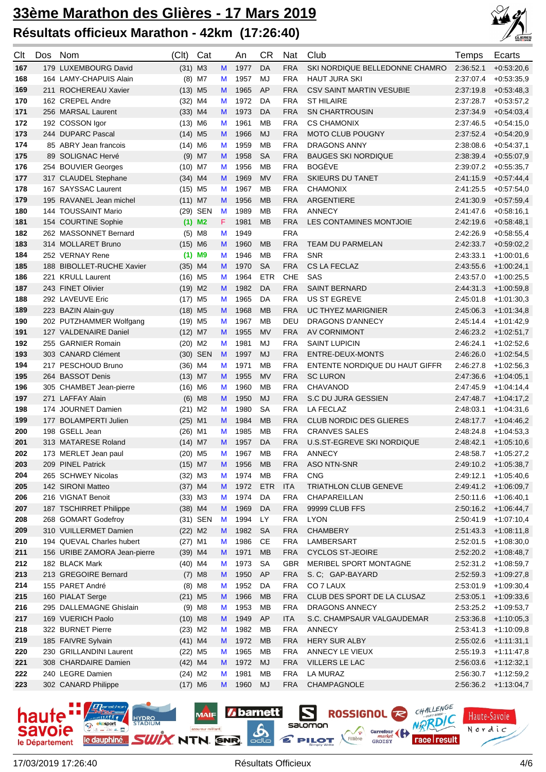

| Clt        | Dos | Nom                                            | (C <sub>l</sub> )     | Cat                  |        | An           | <b>CR</b>       | Nat                      | Club                                  | Temps     | Ecarts                               |
|------------|-----|------------------------------------------------|-----------------------|----------------------|--------|--------------|-----------------|--------------------------|---------------------------------------|-----------|--------------------------------------|
| 167        |     | 179 LUXEMBOURG David                           | $(31)$ M3             |                      | M      | 1977         | DA              | <b>FRA</b>               | SKI NORDIQUE BELLEDONNE CHAMRO        | 2:36:52.1 | $+0.53:20,6$                         |
| 168        |     | 164 LAMY-CHAPUIS Alain                         |                       | $(8)$ M7             | M      | 1957         | MJ              | <b>FRA</b>               | <b>HAUT JURA SKI</b>                  | 2:37:07.4 | $+0.53.35,9$                         |
| 169        |     | 211 ROCHEREAU Xavier                           | $(13)$ M5             |                      | M      | 1965         | AP              | <b>FRA</b>               | <b>CSV SAINT MARTIN VESUBIE</b>       | 2:37:19.8 | $+0.53:48,3$                         |
| 170        |     | 162 CREPEL Andre                               | (32)                  | M4                   | M      | 1972         | DA              | <b>FRA</b>               | <b>ST HILAIRE</b>                     | 2:37:28.7 | $+0.53:57,2$                         |
| 171        |     | 256 MARSAL Laurent                             | $(33)$ M4             |                      | M      | 1973         | DA              | <b>FRA</b>               | <b>SN CHARTROUSIN</b>                 | 2:37:34.9 | $+0.54.03,4$                         |
| 172        |     | 192 COSSON Igor                                | $(13)$ M6             |                      | M      | 1961         | MB              | <b>FRA</b>               | <b>CS CHAMONIX</b>                    | 2:37:46.5 | $+0.54:15,0$                         |
| 173        |     | 244 DUPARC Pascal                              | $(14)$ M <sub>5</sub> |                      | M      | 1966         | MJ              | <b>FRA</b>               | <b>MOTO CLUB POUGNY</b>               | 2:37:52.4 | $+0.54:20,9$                         |
| 174        |     | 85 ABRY Jean francois                          | $(14)$ M6             |                      | M      | 1959         | MB              | <b>FRA</b>               | DRAGONS ANNY                          | 2:38:08.6 | $+0.54.37,1$                         |
| 175        |     | 89 SOLIGNAC Hervé                              |                       | $(9)$ M7             | M      | 1958         | <b>SA</b>       | <b>FRA</b>               | <b>BAUGES SKI NORDIQUE</b>            | 2:38:39.4 | $+0.55:07,9$                         |
| 176        |     | 254 BOUVIER Georges                            | $(10)$ M7             |                      | M      | 1956         | MB              | <b>FRA</b>               | <b>BOGEVE</b>                         | 2:39:07.2 | $+0.55.35,7$                         |
| 177        |     | 317 CLAUDEL Stephane                           | $(34)$ M4             |                      | M      | 1969         | MV              | <b>FRA</b>               | <b>SKIEURS DU TANET</b>               | 2:41:15.9 | $+0.57.44,4$                         |
| 178        |     | 167 SAYSSAC Laurent                            | $(15)$ M <sub>5</sub> |                      | M      | 1967         | MB              | <b>FRA</b>               | <b>CHAMONIX</b>                       | 2:41:25.5 | $+0.57:54,0$                         |
| 179        |     | 195 RAVANEL Jean michel                        | $(11)$ M7             |                      | M      | 1956         | <b>MB</b>       | <b>FRA</b>               | ARGENTIERE                            | 2:41:30.9 | $+0.57:59,4$                         |
| 180        |     | 144 TOUSSAINT Mario                            |                       | (29) SEN             | M      | 1989         | MB              | <b>FRA</b>               | <b>ANNECY</b>                         | 2:41:47.6 | $+0.58:16,1$                         |
| 181        |     | 154 COURTINE Sophie                            |                       | $(1)$ M <sub>2</sub> | F.     | 1981         | <b>MB</b>       | <b>FRA</b>               | LES CONTAMINES MONTJOIE               | 2:42:19.6 | $+0.58:48,1$                         |
| 182        |     | 262 MASSONNET Bernard                          | (5)                   | M8                   | M      | 1949         |                 | <b>FRA</b>               |                                       | 2:42:26.9 | $+0.58.55,4$                         |
| 183        |     | 314 MOLLARET Bruno                             | $(15)$ M6             |                      | M      | 1960         | <b>MB</b>       | <b>FRA</b>               | TEAM DU PARMELAN                      | 2:42:33.7 | $+0.59:02,2$                         |
| 184        |     | 252 VERNAY Rene                                | (1)                   | M <sub>9</sub>       | M      | 1946         | MB              | <b>FRA</b>               | <b>SNR</b>                            | 2:43:33.1 | $+1:00:01,6$                         |
| 185        |     | 188 BIBOLLET-RUCHE Xavier                      | $(35)$ M4             |                      | M      | 1970         | <b>SA</b>       | <b>FRA</b>               | CS LA FECLAZ                          | 2:43:55.6 | $+1:00:24.1$                         |
| 186        |     | 221 KRULL Laurent                              | $(16)$ M <sub>5</sub> |                      | M      | 1964         | <b>ETR</b>      | <b>CHE</b>               | SAS                                   | 2:43:57.0 | $+1:00:25,5$                         |
| 187        |     | 243 FINET Olivier                              | $(19)$ M2             |                      | M      | 1982         | DA              | <b>FRA</b>               | <b>SAINT BERNARD</b>                  | 2:44:31.3 | $+1:00:59,8$                         |
| 188        |     | 292 LAVEUVE Eric                               | (17)                  | M <sub>5</sub>       | M      | 1965         | DA              | <b>FRA</b>               | <b>US ST EGREVE</b>                   | 2:45:01.8 | $+1:01:30,3$                         |
| 189        |     | 223 BAZIN Alain-guy                            | $(18)$ M <sub>5</sub> |                      | M      | 1968         | <b>MB</b>       | <b>FRA</b>               | <b>UC THYEZ MARIGNIER</b>             | 2:45:06.3 | $+1:01:34,8$                         |
| 190        |     | 202 PUTZHAMMER Wolfgang                        | $(19)$ M <sub>5</sub> |                      | M      | 1967         | <b>MB</b>       | DEU                      | DRAGONS D'ANNECY                      | 2:45:14.4 | $+1:01:42,9$                         |
| 191        |     | 127 VALDENAIRE Daniel                          | $(12)$ M7             |                      | M      | 1955         | MV              | <b>FRA</b>               | AV CORNIMONT                          | 2:46:23.2 | $+1:02:51,7$                         |
| 192        |     | 255 GARNIER Romain                             | $(20)$ M2             |                      | M      | 1981         | MJ              | <b>FRA</b>               | <b>SAINT LUPICIN</b>                  | 2:46:24.1 | $+1:02:52,6$                         |
| 193        |     | 303 CANARD Clément                             |                       | (30) SEN             | M      | 1997         | <b>MJ</b>       | <b>FRA</b>               | ENTRE-DEUX-MONTS                      | 2:46:26.0 | $+1:02:54,5$                         |
| 194        |     | 217 PESCHOUD Bruno                             | $(36)$ M4             |                      | M      | 1971         | <b>MB</b>       | <b>FRA</b>               | ENTENTE NORDIQUE DU HAUT GIFFR        | 2:46:27.8 | $+1:02:56,3$                         |
| 195        |     | 264 BASSOT Denis                               | $(13)$ M7             |                      | M      | 1955         | MV              | <b>FRA</b>               | <b>SC LURON</b>                       | 2:47:36.6 | $+1:04:05,1$                         |
| 196        |     | 305 CHAMBET Jean-pierre                        | $(16)$ M6             |                      | M      | 1960         | <b>MB</b>       | <b>FRA</b>               | <b>CHAVANOD</b>                       | 2:47:45.9 | $+1.04:14,4$                         |
| 197        |     | 271 LAFFAY Alain                               | (6)                   | M <sub>8</sub>       | M      | 1950         | <b>MJ</b>       | <b>FRA</b>               | S.C DU JURA GESSIEN                   | 2:47:48.7 | $+1.04:17,2$                         |
| 198        |     | 174 JOURNET Damien                             | $(21)$ M2             |                      | M      | 1980         | <b>SA</b>       | <b>FRA</b>               | LA FECLAZ                             | 2:48:03.1 | $+1:04:31,6$                         |
| 199        |     | 177 BOLAMPERTI Julien                          | $(25)$ M1             |                      | M      | 1984         | <b>MB</b>       | <b>FRA</b>               | <b>CLUB NORDIC DES GLIERES</b>        | 2:48:17.7 | $+1.04:46,2$                         |
| 200        |     | 198 GSELL Jean                                 | $(26)$ M1             |                      | M      | 1985         | MB              | <b>FRA</b>               | <b>CRANVES SALES</b>                  | 2:48:24.8 | $+1:04:53,3$                         |
| 201        |     | 313 MATARESE Roland                            | $(14)$ M7             |                      | M      | 1957         | DA              | <b>FRA</b>               | U.S.ST-EGREVE SKI NORDIQUE            | 2:48:42.1 | $+1:05:10,6$                         |
| 202        |     | 173 MERLET Jean paul                           | $(20)$ M5             |                      | M      | 1967         | MB              | <b>FRA</b>               | <b>ANNECY</b>                         | 2:48:58.7 | $+1:05:27,2$                         |
| 203        |     | 209 PINEL Patrick                              | $(15)$ M7             |                      | M      | 1956         | <b>MB</b>       | <b>FRA</b>               | ASO NTN-SNR                           |           | 2:49:10.2 +1:05:38,7                 |
| 204        |     | 265 SCHWEY Nicolas                             | $(32)$ M3             |                      | M      | 1974         | MB              | <b>FRA</b>               | <b>CNG</b>                            | 2:49:12.1 | $+1:05:40,6$                         |
| 205        |     | 142 SIRONI Matteo                              | $(37)$ M4             |                      | M      | 1972         | <b>ETR</b>      | <b>ITA</b>               | TRIATHLON CLUB GENEVE                 |           | 2:49:41.2 +1:06:09,7                 |
| 206        |     | 216 VIGNAT Benoit                              | $(33)$ M3             |                      | M      | 1974         | DA              | <b>FRA</b>               | CHAPAREILLAN                          | 2:50:11.6 | $+1:06:40,1$                         |
| 207        |     | 187 TSCHIRRET Philippe                         | $(38)$ M4             |                      | M      | 1969         | DA              | <b>FRA</b>               | 99999 CLUB FFS                        | 2:50:16.2 | $+1.06:44,7$                         |
| 208        |     | 268 GOMART Godefroy                            |                       | (31) SEN             | M      | 1994         | LY              | <b>FRA</b>               | <b>LYON</b>                           | 2:50:41.9 | $+1:07:10,4$                         |
| 209        |     | 310 VUILLERMET Damien                          | $(22)$ M2             |                      | M      | 1982         | <b>SA</b>       | <b>FRA</b>               | <b>CHAMBERY</b>                       | 2:51:43.3 | $+1:08:11,8$                         |
| 210        |     | 194 QUEVAL Charles hubert                      | $(27)$ M1             |                      | M      | 1986         | CE<br><b>MB</b> | <b>FRA</b>               | LAMBERSART<br><b>CYCLOS ST-JEOIRE</b> | 2:52:01.5 | $+1:08:30,0$                         |
| 211<br>212 |     | 156 URIBE ZAMORA Jean-pierre<br>182 BLACK Mark | $(39)$ M4             |                      | M      | 1971<br>1973 | <b>SA</b>       | <b>FRA</b><br><b>GBR</b> | MERIBEL SPORT MONTAGNE                | 2:52:31.2 | $2:52:20.2$ +1:08:48,7<br>+1:08:59,7 |
| 213        |     | 213 GREGOIRE Bernard                           | $(40)$ M4             | $(7)$ M8             | M<br>M | 1950         | AP              | <b>FRA</b>               | S. C; GAP-BAYARD                      | 2:52:59.3 | +1:09:27,8                           |
| 214        |     | 155 PARET André                                |                       | $(8)$ M8             | M      | 1952         | DA              | <b>FRA</b>               | CO 7 LAUX                             | 2:53:01.9 | $+1:09:30,4$                         |
| 215        |     | 160 PIALAT Serge                               | $(21)$ M5             |                      | M      | 1966         | <b>MB</b>       | <b>FRA</b>               | CLUB DES SPORT DE LA CLUSAZ           | 2:53:05.1 | $+1:09:33,6$                         |
| 216        |     | 295 DALLEMAGNE Ghislain                        |                       | $(9)$ M8             | M      | 1953         | <b>MB</b>       | <b>FRA</b>               | DRAGONS ANNECY                        | 2:53:25.2 | $+1:09:53,7$                         |
| 217        |     | 169 VUERICH Paolo                              | $(10)$ M8             |                      | M      | 1949         | AP              | <b>ITA</b>               | S.C. CHAMPSAUR VALGAUDEMAR            | 2:53:36.8 | $+1:10:05,3$                         |
| 218        |     | 322 BURNET Pierre                              | $(23)$ M2             |                      | M      | 1982         | <b>MB</b>       | <b>FRA</b>               | <b>ANNECY</b>                         | 2:53:41.3 | $+1:10:09,8$                         |
| 219        |     | 185 FAIVRE Sylvain                             | $(41)$ M4             |                      | M      | 1972         | <b>MB</b>       | <b>FRA</b>               | HERY SUR ALBY                         | 2:55:02.6 | $+1:11:31,1$                         |
| 220        |     | 230 GRILLANDINI Laurent                        | $(22)$ M5             |                      | M      | 1965         | <b>MB</b>       | <b>FRA</b>               | ANNECY LE VIEUX                       | 2:55:19.3 | $+1:11:47,8$                         |
| 221        |     | 308 CHARDAIRE Damien                           | $(42)$ M4             |                      | M      | 1972         | MJ              | <b>FRA</b>               | VILLERS LE LAC                        | 2:56:03.6 | $+1:12:32,1$                         |
| 222        |     | 240 LEGRE Damien                               | $(24)$ M2             |                      | M      | 1981         | <b>MB</b>       | <b>FRA</b>               | LA MURAZ                              | 2:56:30.7 | $+1:12:59,2$                         |
| 223        |     | 302 CANARD Philippe                            | $(17)$ M6             |                      | M      | 1960         | MJ              | <b>FRA</b>               | CHAMPAGNOLE                           | 2:56:36.2 | +1:13:04,7                           |

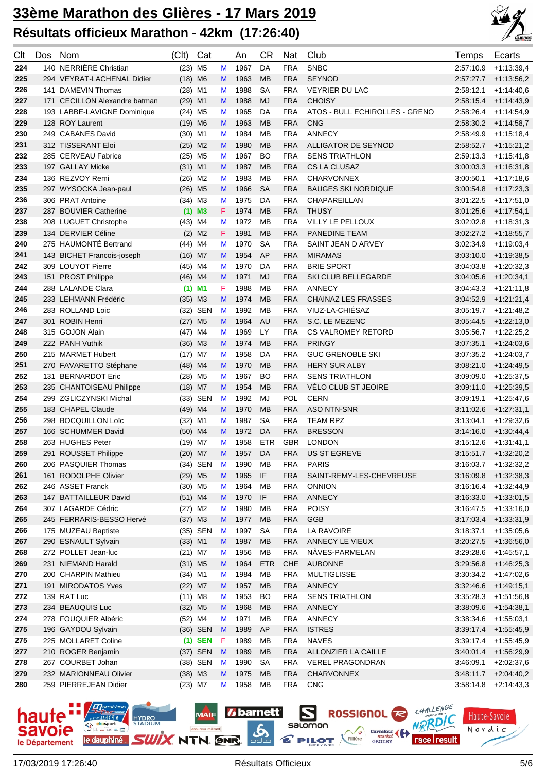

| Clt | Dos | Nom                           | (Clt)                 | Cat       |    | An   | <b>CR</b>  | Nat        | Club                           | Temps     | Ecarts                 |
|-----|-----|-------------------------------|-----------------------|-----------|----|------|------------|------------|--------------------------------|-----------|------------------------|
| 224 |     | 140 NERRIÈRE Christian        | $(23)$ M <sub>5</sub> |           | M  | 1967 | DA         | <b>FRA</b> | <b>SNBC</b>                    | 2:57:10.9 | $+1:13:39,4$           |
| 225 |     | 294 VEYRAT-LACHENAL Didier    | $(18)$ M6             |           | M  | 1963 | <b>MB</b>  | <b>FRA</b> | <b>SEYNOD</b>                  | 2:57:27.7 | $+1:13:56,2$           |
| 226 |     | 141 DAMEVIN Thomas            | $(28)$ M1             |           | M  | 1988 | <b>SA</b>  | <b>FRA</b> | <b>VEYRIER DU LAC</b>          | 2:58:12.1 | $+1:14:40,6$           |
| 227 |     | 171 CECILLON Alexandre batman | $(29)$ M1             |           | M  | 1988 | <b>MJ</b>  | <b>FRA</b> | <b>CHOISY</b>                  | 2:58:15.4 | $+1.14.43,9$           |
| 228 |     | 193 LABBE-LAVIGNE Dominique   | $(24)$ M <sub>5</sub> |           | M  | 1965 | DA         | <b>FRA</b> | ATOS - BULL ECHIROLLES - GRENO | 2:58:26.4 | $+1:14:54,9$           |
| 229 |     | 128 ROY Laurent               | $(19)$ M6             |           | M  | 1963 | <b>MB</b>  | <b>FRA</b> | <b>CNG</b>                     | 2:58:30.2 | $+1:14:58,7$           |
| 230 |     | 249 CABANES David             | $(30)$ M1             |           | M  | 1984 | МB         | <b>FRA</b> | <b>ANNECY</b>                  | 2:58:49.9 | $+1:15:18,4$           |
| 231 |     | 312 TISSERANT Eloi            | $(25)$ M2             |           | M  | 1980 | <b>MB</b>  | <b>FRA</b> | ALLIGATOR DE SEYNOD            | 2:58:52.7 | $+1:15:21,2$           |
| 232 |     | 285 CERVEAU Fabrice           | $(25)$ M5             |           | M  | 1967 | <b>BO</b>  | <b>FRA</b> | <b>SENS TRIATHLON</b>          | 2.59.13.3 | $+1:15:41,8$           |
| 233 |     | 197 GALLAY Micke              | $(31)$ M1             |           | M  | 1987 | <b>MB</b>  | <b>FRA</b> | CS LA CLUSAZ                   | 3:00:03.3 | $+1.16.31,8$           |
| 234 |     | 136 REZVOY Remi               | $(26)$ M2             |           | M  | 1983 | МB         | <b>FRA</b> | <b>CHARVONNEX</b>              | 3:00:50.1 | $+1:17:18.6$           |
| 235 |     | 297 WYSOCKA Jean-paul         | $(26)$ M5             |           | M  | 1966 | <b>SA</b>  | <b>FRA</b> | <b>BAUGES SKI NORDIQUE</b>     | 3:00:54.8 | $+1:17:23,3$           |
| 236 |     | 306 PRAT Antoine              | $(34)$ M3             |           | M  | 1975 | DA         | <b>FRA</b> | CHAPAREILLAN                   | 3:01:22.5 | $+1:17:51,0$           |
| 237 |     | 287 BOUVIER Catherine         |                       | $(1)$ M3  | F. | 1974 | <b>MB</b>  | <b>FRA</b> | <b>THUSY</b>                   | 3:01:25.6 | $+1:17:54,1$           |
| 238 |     | 208 LUGUET Christophe         | $(43)$ M4             |           | M  | 1972 | МB         | <b>FRA</b> | VILLY LE PELLOUX               | 3:02:02.8 | $+1:18:31,3$           |
| 239 |     | 134 DERVIER Céline            |                       | $(2)$ M2  | F. | 1981 | <b>MB</b>  | <b>FRA</b> | <b>PANEDINE TEAM</b>           | 3:02:27.2 | $+1:18:55,7$           |
| 240 |     | 275 HAUMONTÉ Bertrand         | $(44)$ M4             |           | M  | 1970 | <b>SA</b>  | <b>FRA</b> | SAINT JEAN D ARVEY             | 3:02:34.9 | $+1:19:03,4$           |
| 241 |     | 143 BICHET Francois-joseph    | $(16)$ M7             |           | M  | 1954 | AP         | <b>FRA</b> | <b>MIRAMAS</b>                 | 3:03:10.0 | $+1:19:38,5$           |
| 242 |     | 309 LOUYOT Pierre             | $(45)$ M4             |           | M  | 1970 | DA         | <b>FRA</b> | <b>BRIE SPORT</b>              | 3:04:03.8 | $+1:20:32,3$           |
| 243 |     | 151 PROST Philippe            | $(46)$ M4             |           | M  | 1971 | MJ         | <b>FRA</b> | SKI CLUB BELLEGARDE            | 3:04:05.6 | $+1:20:34,1$           |
| 244 |     | 288 LALANDE Clara             |                       | $(1)$ M1  | F. | 1988 | МB         | <b>FRA</b> | <b>ANNECY</b>                  | 3:04:43.3 | $+1:21:11,8$           |
| 245 |     | 233 LEHMANN Frédéric          | $(35)$ M3             |           | M  | 1974 | <b>MB</b>  | <b>FRA</b> | <b>CHAINAZ LES FRASSES</b>     | 3:04:52.9 | $+1:21:21,4$           |
| 246 |     | 283 ROLLAND Loic              |                       | (32) SEN  | M  | 1992 | <b>MB</b>  | <b>FRA</b> | VIUZ-LA-CHIÉSAZ                | 3.05.19.7 | $+1:21:48,2$           |
| 247 |     | 301 ROBIN Henri               | $(27)$ M5             |           | M  | 1964 | <b>AU</b>  | <b>FRA</b> | S.C. LE MEZENC                 | 3:05:44.5 | $+1:22:13,0$           |
| 248 |     | 315 GOJON Alain               | $(47)$ M4             |           | M  | 1969 | LY         | <b>FRA</b> | CS VALROMEY RETORD             | 3:05:56.7 | $+1:22:25,2$           |
| 249 |     | 222 PANH Vuthik               | $(36)$ M3             |           | M  | 1974 | <b>MB</b>  | <b>FRA</b> | <b>PRINGY</b>                  | 3:07:35.1 | $+1.24.03,6$           |
| 250 |     | 215 MARMET Hubert             | $(17)$ M7             |           | M  | 1958 | DA         | <b>FRA</b> | <b>GUC GRENOBLE SKI</b>        | 3:07:35.2 | $+1:24:03,7$           |
| 251 |     | 270 FAVARETTO Stéphane        | $(48)$ M4             |           | M  | 1970 | <b>MB</b>  | <b>FRA</b> | <b>HERY SUR ALBY</b>           | 3:08:21.0 | $+1.24.49,5$           |
| 252 |     | 131 BERNARDOT Eric            | $(28)$ M5             |           | M  | 1967 | <b>BO</b>  | <b>FRA</b> | <b>SENS TRIATHLON</b>          | 3:09:09.0 | $+1:25:37,5$           |
| 253 |     | 235 CHANTOISEAU Philippe      | $(18)$ M7             |           | M  | 1954 | <b>MB</b>  | <b>FRA</b> | VÉLO CLUB ST JEOIRE            | 3:09:11.0 | $+1.25.39,5$           |
| 254 |     | 299 ZGLICZYNSKI Michal        |                       | (33) SEN  | M  | 1992 | MJ         | POL        | <b>CERN</b>                    | 3:09:19.1 | $+1:25:47,6$           |
| 255 |     | 183 CHAPEL Claude             | $(49)$ M4             |           | M  | 1970 | <b>MB</b>  | <b>FRA</b> | <b>ASO NTN-SNR</b>             | 3:11:02.6 | $+1:27:31,1$           |
| 256 |     | 298 BOCQUILLON Loïc           | $(32)$ M1             |           | M  | 1987 | <b>SA</b>  | <b>FRA</b> | <b>TEAM RPZ</b>                | 3:13:04.1 | $+1:29:32,6$           |
| 257 |     | 166 SCHUMMER David            | $(50)$ M4             |           | M  | 1972 | DA         | <b>FRA</b> | <b>BRESSON</b>                 | 3:14:16.0 | $+1.30.44,4$           |
| 258 |     | 263 HUGHES Peter              | $(19)$ M7             |           | M  | 1958 | <b>ETR</b> | <b>GBR</b> | <b>LONDON</b>                  | 3:15:12.6 | $+1:31:41,1$           |
| 259 |     | 291 ROUSSET Philippe          | $(20)$ M7             |           | M  | 1957 | DA         | <b>FRA</b> | US ST EGREVE                   |           | $3:15:51.7$ +1:32:20,2 |
| 260 |     | 206 PASQUIER Thomas           |                       | (34) SEN  | M  | 1990 | MB         |            | FRA PARIS                      |           | $3:16:03.7$ +1:32:32,2 |
| 261 |     | 161 RODOLPHE Olivier          | $(29)$ M5             |           | M  | 1965 | IF         | <b>FRA</b> | SAINT-REMY-LES-CHEVREUSE       | 3:16:09.8 | $+1:32:38,3$           |
| 262 |     | 246 ASSET Franck              | $(30)$ M5             |           | M  | 1964 | MB         | <b>FRA</b> | <b>ONNION</b>                  | 3:16:16.4 | $+1:32:44,9$           |
| 263 |     | 147 BATTAILLEUR David         | $(51)$ M4             |           | M  | 1970 | IF         | <b>FRA</b> | ANNECY                         | 3:16:33.0 | $+1:33:01,5$           |
| 264 |     | 307 LAGARDE Cédric            | $(27)$ M2             |           | M  | 1980 | MB         | <b>FRA</b> | <b>POISY</b>                   | 3:16:47.5 | $+1:33:16,0$           |
| 265 |     | 245 FERRARIS-BESSO Hervé      | $(37)$ M3             |           | M  | 1977 | MB         | <b>FRA</b> | <b>GGB</b>                     | 3:17:03.4 | $+1:33:31,9$           |
| 266 |     | 175 MUZEAU Baptiste           |                       | (35) SEN  | M  | 1997 | <b>SA</b>  | <b>FRA</b> | LA RAVOIRE                     | 3:18:37.1 | $+1:35:05,6$           |
| 267 |     | 290 ESNAULT Sylvain           | $(33)$ M1             |           | M  | 1987 | <b>MB</b>  | <b>FRA</b> | ANNECY LE VIEUX                | 3:20:27.5 | $+1:36:56,0$           |
| 268 |     | 272 POLLET Jean-luc           | $(21)$ M7             |           | M  | 1956 | MB         | <b>FRA</b> | NÂVES-PARMELAN                 | 3:29:28.6 | $+1:45:57,1$           |
| 269 |     | 231 NIEMAND Harald            | $(31)$ M <sub>5</sub> |           | M  | 1964 | <b>ETR</b> | CHE        | <b>AUBONNE</b>                 | 3:29:56.8 | $+1:46:25,3$           |
| 270 |     | 200 CHARPIN Mathieu           | $(34)$ M1             |           | M  | 1984 | MB         | <b>FRA</b> | <b>MULTIGLISSE</b>             | 3:30:34.2 | $+1:47:02,6$           |
| 271 |     | 191 MIRODATOS Yves            | $(22)$ M7             |           | M  | 1957 | <b>MB</b>  | <b>FRA</b> | <b>ANNECY</b>                  | 3:32:46.6 | $+1.49.15,1$           |
| 272 |     | 139 RAT Luc                   | $(11)$ M8             |           | M  | 1953 | <b>BO</b>  | <b>FRA</b> | <b>SENS TRIATHLON</b>          | 3:35:28.3 | $+1:51:56,8$           |
| 273 |     | 234 BEAUQUIS Luc              | $(32)$ M <sub>5</sub> |           | M  | 1968 | <b>MB</b>  | <b>FRA</b> | ANNECY                         | 3:38:09.6 | $+1.54.38,1$           |
| 274 |     | 278 FOUQUIER Albéric          | $(52)$ M4             |           | M  | 1971 | MB         | <b>FRA</b> | ANNECY                         | 3:38:34.6 | $+1:55:03,1$           |
| 275 |     | 196 GAYDOU Sylvain            |                       | (36) SEN  | M  | 1989 | AP         | <b>FRA</b> | <b>ISTRES</b>                  | 3:39:17.4 | $+1:55:45,9$           |
| 275 |     | 225 MOLLARET Coline           |                       | $(1)$ SEN | F  | 1989 | MB         | <b>FRA</b> | <b>NAVES</b>                   | 3:39:17.4 | $+1:55:45,9$           |
| 277 |     | 210 ROGER Benjamin            |                       | (37) SEN  | M  | 1989 | <b>MB</b>  | <b>FRA</b> | ALLONZIER LA CAILLE            | 3:40:01.4 | $+1:56:29,9$           |
| 278 |     | 267 COURBET Johan             |                       | (38) SEN  | M  | 1990 | <b>SA</b>  | <b>FRA</b> | <b>VEREL PRAGONDRAN</b>        | 3:46:09.1 | $+2:02:37,6$           |
| 279 |     | 232 MARIONNEAU Olivier        | $(38)$ M3             |           | M  | 1975 | <b>MB</b>  | <b>FRA</b> | <b>CHARVONNEX</b>              | 3:48:11.7 | $+2:04:40,2$           |
| 280 |     | 259 PIERREJEAN Didier         | $(23)$ M7             |           | M  | 1958 | MB         | <b>FRA</b> | <b>CNG</b>                     | 3:58:14.8 | $+2:14:43,3$           |